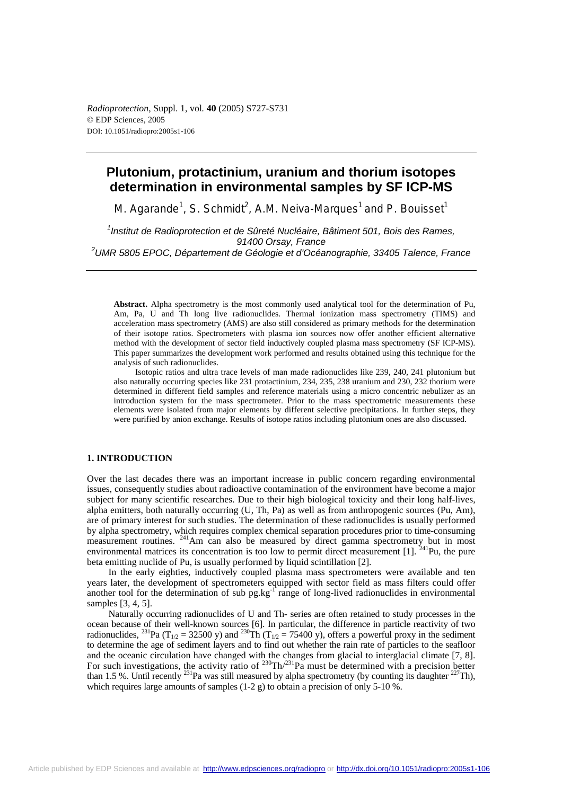# **Plutonium, protactinium, uranium and thorium isotopes determination in environmental samples by SF ICP-MS**

M. Agarande<sup>1</sup>, S. Schmidt<sup>2</sup>, A.M. Neiva-Marques<sup>1</sup> and P. Bouisset<sup>1</sup>

<sup>1</sup> Institut de Radioprotection et de Sûreté Nucléaire, Bâtiment 501, Bois des Rames, *91400 Orsay, France 2 UMR 5805 EPOC, Département de Géologie et d'Océanographie, 33405 Talence, France* 

**Abstract.** Alpha spectrometry is the most commonly used analytical tool for the determination of Pu, Am, Pa, U and Th long live radionuclides. Thermal ionization mass spectrometry (TIMS) and acceleration mass spectrometry (AMS) are also still considered as primary methods for the determination of their isotope ratios. Spectrometers with plasma ion sources now offer another efficient alternative method with the development of sector field inductively coupled plasma mass spectrometry (SF ICP-MS). This paper summarizes the development work performed and results obtained using this technique for the analysis of such radionuclides.

Isotopic ratios and ultra trace levels of man made radionuclides like 239, 240, 241 plutonium but also naturally occurring species like 231 protactinium, 234, 235, 238 uranium and 230, 232 thorium were determined in different field samples and reference materials using a micro concentric nebulizer as an introduction system for the mass spectrometer. Prior to the mass spectrometric measurements these elements were isolated from major elements by different selective precipitations. In further steps, they were purified by anion exchange. Results of isotope ratios including plutonium ones are also discussed.

# **1. INTRODUCTION**

Over the last decades there was an important increase in public concern regarding environmental issues, consequently studies about radioactive contamination of the environment have become a major subject for many scientific researches. Due to their high biological toxicity and their long half-lives, alpha emitters, both naturally occurring (U, Th, Pa) as well as from anthropogenic sources (Pu, Am), are of primary interest for such studies. The determination of these radionuclides is usually performed by alpha spectrometry, which requires complex chemical separation procedures prior to time-consuming measurement routines. <sup>241</sup>Am can also be measured by direct gamma spectrometry but in most environmental matrices its concentration is too low to permit direct measurement [1]. <sup>241</sup>Pu, the pure beta emitting nuclide of Pu, is usually performed by liquid scintillation [2].

In the early eighties, inductively coupled plasma mass spectrometers were available and ten years later, the development of spectrometers equipped with sector field as mass filters could offer another tool for the determination of sub pg.kg<sup>-1</sup> range of long-lived radionuclides in environmental samples [3, 4, 5].

Naturally occurring radionuclides of U and Th- series are often retained to study processes in the ocean because of their well-known sources [6]. In particular, the difference in particle reactivity of two radionuclides, <sup>231</sup>Pa (T<sub>1/2</sub> = 32500 y) and <sup>230</sup>Th (T<sub>1/2</sub> = 75400 y), offers a powerful proxy in the sediment to determine the age of sediment layers and to find out whether the rain rate of particles to the seafloor and the oceanic circulation have changed with the changes from glacial to interglacial climate [7, 8]. For such investigations, the activity ratio of  $^{230} \text{Th}/^{231} \text{Pa}$  must be determined with a precision better than 1.5 %. Until recently <sup>231</sup>Pa was still measured by alpha spectrometry (by counting its daughter <sup>227</sup>Th), which requires large amounts of samples (1-2 g) to obtain a precision of only 5-10 %.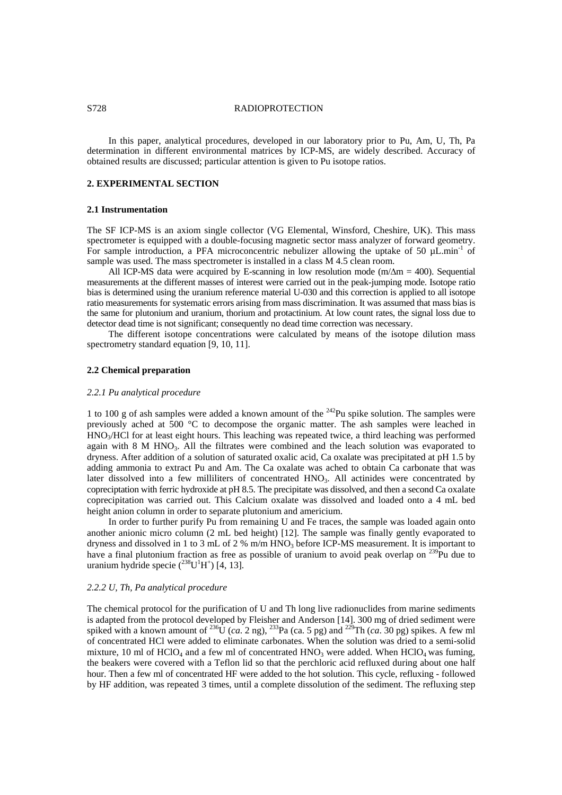## S728 RADIOPROTECTION

In this paper, analytical procedures, developed in our laboratory prior to Pu, Am, U, Th, Pa determination in different environmental matrices by ICP-MS, are widely described. Accuracy of obtained results are discussed; particular attention is given to Pu isotope ratios.

# **2. EXPERIMENTAL SECTION**

#### **2.1 Instrumentation**

The SF ICP-MS is an axiom single collector (VG Elemental, Winsford, Cheshire, UK). This mass spectrometer is equipped with a double-focusing magnetic sector mass analyzer of forward geometry. For sample introduction, a PFA microconcentric nebulizer allowing the uptake of 50  $\mu$ L.min<sup>-1</sup> of sample was used. The mass spectrometer is installed in a class M 4.5 clean room.

All ICP-MS data were acquired by E-scanning in low resolution mode (m/ $\Delta m = 400$ ). Sequential measurements at the different masses of interest were carried out in the peak-jumping mode. Isotope ratio bias is determined using the uranium reference material U-030 and this correction is applied to all isotope ratio measurements for systematic errors arising from mass discrimination. It was assumed that mass bias is the same for plutonium and uranium, thorium and protactinium. At low count rates, the signal loss due to detector dead time is not significant; consequently no dead time correction was necessary.

The different isotope concentrations were calculated by means of the isotope dilution mass spectrometry standard equation [9, 10, 11].

## **2.2 Chemical preparation**

#### *2.2.1 Pu analytical procedure*

1 to 100 g of ash samples were added a known amount of the 242Pu spike solution. The samples were previously ached at 500 °C to decompose the organic matter. The ash samples were leached in HNO<sub>3</sub>/HCl for at least eight hours. This leaching was repeated twice, a third leaching was performed again with 8 M HNO<sub>3</sub>. All the filtrates were combined and the leach solution was evaporated to dryness. After addition of a solution of saturated oxalic acid, Ca oxalate was precipitated at pH 1.5 by adding ammonia to extract Pu and Am. The Ca oxalate was ached to obtain Ca carbonate that was later dissolved into a few milliliters of concentrated HNO<sub>3</sub>. All actinides were concentrated by copreciptation with ferric hydroxide at pH 8.5. The precipitate was dissolved, and then a second Ca oxalate coprecipitation was carried out. This Calcium oxalate was dissolved and loaded onto a 4 mL bed height anion column in order to separate plutonium and americium.

In order to further purify Pu from remaining U and Fe traces, the sample was loaded again onto another anionic micro column (2 mL bed height) [12]. The sample was finally gently evaporated to dryness and dissolved in 1 to 3 mL of 2 % m/m HNO<sub>3</sub> before ICP-MS measurement. It is important to have a final plutonium fraction as free as possible of uranium to avoid peak overlap on  $^{239}$ Pu due to uranium hydride specie  $(^{238}U^1H^+)$  [4, 13].

## *2.2.2 U, Th, Pa analytical procedure*

The chemical protocol for the purification of U and Th long live radionuclides from marine sediments is adapted from the protocol developed by Fleisher and Anderson [14]. 300 mg of dried sediment were spiked with a known amount of  $^{236}$ U (*ca*. 2 ng),  $^{233}$ Pa (*ca*. 5 pg) and  $^{229}$ Th (*ca*. 30 pg) spikes. A few ml of concentrated HCl were added to eliminate carbonates. When the solution was dried to a semi-solid mixture, 10 ml of HClO<sub>4</sub> and a few ml of concentrated HNO<sub>3</sub> were added. When HClO<sub>4</sub> was fuming, the beakers were covered with a Teflon lid so that the perchloric acid refluxed during about one half hour. Then a few ml of concentrated HF were added to the hot solution. This cycle, refluxing - followed by HF addition, was repeated 3 times, until a complete dissolution of the sediment. The refluxing step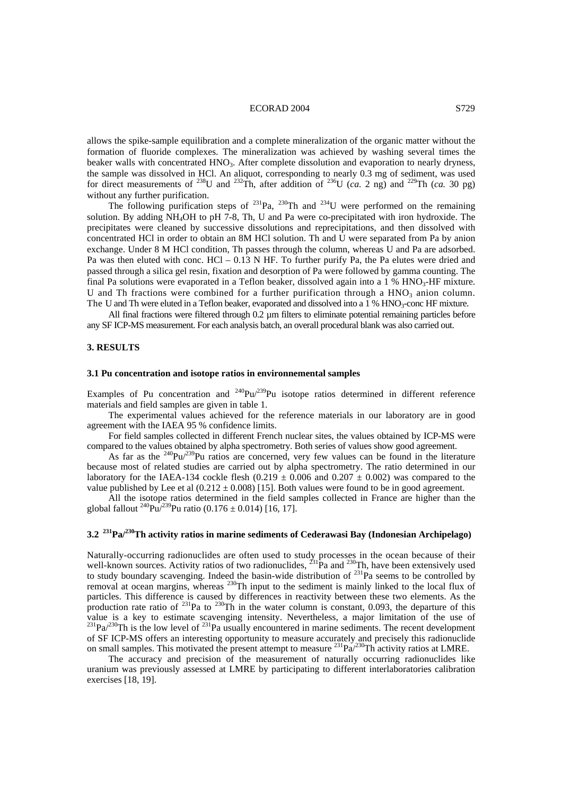## ECORAD 2004 S729

allows the spike-sample equilibration and a complete mineralization of the organic matter without the formation of fluoride complexes. The mineralization was achieved by washing several times the beaker walls with concentrated HNO<sub>3</sub>. After complete dissolution and evaporation to nearly dryness, the sample was dissolved in HCl. An aliquot, corresponding to nearly 0.3 mg of sediment, was used for direct measurements of <sup>238</sup>U and <sup>232</sup>Th, after addition of <sup>236</sup>U (*ca.* 2 ng) and <sup>229</sup>Th (*ca.* 30 pg) without any further purification.

The following purification steps of  $^{231}$ Pa,  $^{230}$ Th and  $^{234}$ U were performed on the remaining solution. By adding NH4OH to pH 7-8, Th, U and Pa were co-precipitated with iron hydroxide. The precipitates were cleaned by successive dissolutions and reprecipitations, and then dissolved with concentrated HCl in order to obtain an 8M HCl solution. Th and U were separated from Pa by anion exchange. Under 8 M HCl condition, Th passes through the column, whereas U and Pa are adsorbed. Pa was then eluted with conc. HCl – 0.13 N HF. To further purify Pa, the Pa elutes were dried and passed through a silica gel resin, fixation and desorption of Pa were followed by gamma counting. The final Pa solutions were evaporated in a Teflon beaker, dissolved again into a 1 %  $HNO<sub>3</sub>$ -HF mixture. U and Th fractions were combined for a further purification through a  $HNO<sub>3</sub>$  anion column. The U and Th were eluted in a Teflon beaker, evaporated and dissolved into a 1 % HNO<sub>3</sub>-conc HF mixture.

All final fractions were filtered through 0.2  $\mu$ m filters to eliminate potential remaining particles before any SF ICP-MS measurement. For each analysis batch, an overall procedural blank was also carried out.

## **3. RESULTS**

#### **3.1 Pu concentration and isotope ratios in environnemental samples**

Examples of Pu concentration and  $^{240}Pu^{239}Pu$  isotope ratios determined in different reference materials and field samples are given in table 1.

The experimental values achieved for the reference materials in our laboratory are in good agreement with the IAEA 95 % confidence limits.

For field samples collected in different French nuclear sites, the values obtained by ICP-MS were compared to the values obtained by alpha spectrometry. Both series of values show good agreement.

As far as the  $240$ Pu/ $239$ Pu ratios are concerned, very few values can be found in the literature because most of related studies are carried out by alpha spectrometry. The ratio determined in our laboratory for the IAEA-134 cockle flesh (0.219  $\pm$  0.006 and 0.207  $\pm$  0.002) was compared to the value published by Lee et al  $(0.212 \pm 0.008)$  [15]. Both values were found to be in good agreement.

All the isotope ratios determined in the field samples collected in France are higher than the global fallout  $^{240}Pu^{239}Pu$  ratio (0.176 ± 0.014) [16, 17].

# **3.2 231Pa/230Th activity ratios in marine sediments of Cederawasi Bay (Indonesian Archipelago)**

Naturally-occurring radionuclides are often used to study processes in the ocean because of their well-known sources. Activity ratios of two radionuclides,  $^{231}$ Pa and  $^{230}$ Th, have been extensively used to study boundary scavenging. Indeed the basin-wide distribution of <sup>231</sup>Pa seems to be controlled by removal at ocean margins, whereas <sup>230</sup>Th input to the sediment is mainly linked to the local flux of particles. This difference is caused by differences in reactivity between these two elements. As the production rate ratio of  $^{231}$ Pa to  $^{230}$ Th in the water column is constant, 0.093, the departure of this value is a key to estimate scavenging intensity. Nevertheless, a major limitation of the use of  $^{231}Pa^{230}Th$  is the low level of  $^{231}Pa$  usually encountered in marine sediments. The recent development of SF ICP-MS offers an interesting opportunity to measure accurately and precisely this radionuclide on small samples. This motivated the present attempt to measure  $^{231}Pa^{230}Th$  activity ratios at LMRE.

The accuracy and precision of the measurement of naturally occurring radionuclides like uranium was previously assessed at LMRE by participating to different interlaboratories calibration exercises [18, 19].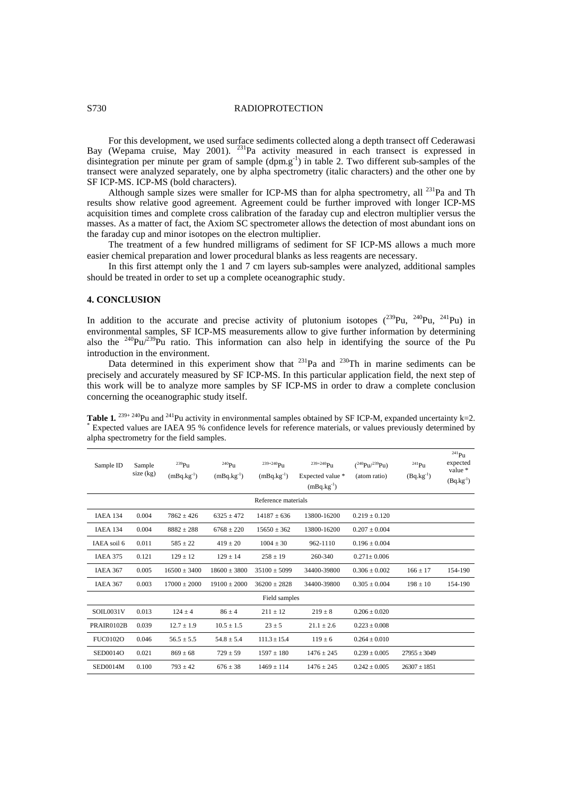## S730 RADIOPROTECTION

For this development, we used surface sediments collected along a depth transect off Cederawasi Bay (Wepama cruise, May 2001). <sup>231</sup>Pa activity measured in each transect is expressed in disintegration per minute per gram of sample  $(dpm. g^{-1})$  in table 2. Two different sub-samples of the transect were analyzed separately, one by alpha spectrometry (italic characters) and the other one by SF ICP-MS. ICP-MS (bold characters).

Although sample sizes were smaller for ICP-MS than for alpha spectrometry, all  $^{231}$ Pa and Th results show relative good agreement. Agreement could be further improved with longer ICP-MS acquisition times and complete cross calibration of the faraday cup and electron multiplier versus the masses. As a matter of fact, the Axiom SC spectrometer allows the detection of most abundant ions on the faraday cup and minor isotopes on the electron multiplier.

The treatment of a few hundred milligrams of sediment for SF ICP-MS allows a much more easier chemical preparation and lower procedural blanks as less reagents are necessary.

In this first attempt only the 1 and 7 cm layers sub-samples were analyzed, additional samples should be treated in order to set up a complete oceanographic study.

# **4. CONCLUSION**

In addition to the accurate and precise activity of plutonium isotopes  $(^{239}Pu, ^{240}Pu, ^{241}Pu)$  in environmental samples, SF ICP-MS measurements allow to give further information by determining also the  $240$ Pu/ $239$ Pu ratio. This information can also help in identifying the source of the Pu introduction in the environment.

Data determined in this experiment show that  $^{231}$ Pa and  $^{230}$ Th in marine sediments can be precisely and accurately measured by SF ICP-MS. In this particular application field, the next step of this work will be to analyze more samples by SF ICP-MS in order to draw a complete conclusion concerning the oceanographic study itself.

| Sample ID           | Sample<br>size $(kg)$ | $\mathrm{^{239}Pu}$<br>$(mBq.kg^{-1})$ | 240P <sub>U</sub><br>$(mBq.kg^{-1})$ | $239+240$ P <sub>11</sub><br>$(mBq.kg^{-1})$ | $239 + 240$ Pu<br>Expected value *<br>$(mBq.kg^{-1})$ | $(^{240}Pu/^{239}Pu)$<br>(atom ratio) | $^{241}$ Pu<br>$(Bq.kg^{-1})$ | $^{241}$ Pu<br>expected<br>value $*$<br>$(Bq.kg^{-1})$ |  |  |  |
|---------------------|-----------------------|----------------------------------------|--------------------------------------|----------------------------------------------|-------------------------------------------------------|---------------------------------------|-------------------------------|--------------------------------------------------------|--|--|--|
| Reference materials |                       |                                        |                                      |                                              |                                                       |                                       |                               |                                                        |  |  |  |
| <b>IAEA 134</b>     | 0.004                 | $7862 \pm 426$                         | $6325 \pm 472$                       | $14187 \pm 636$                              | 13800-16200                                           | $0.219 \pm 0.120$                     |                               |                                                        |  |  |  |
| IAEA 134            | 0.004                 | $8882 \pm 288$                         | $6768 + 220$                         | $15650 + 362$                                | 13800-16200                                           | $0.207 \pm 0.004$                     |                               |                                                        |  |  |  |
| IAEA soil 6         | 0.011                 | $585 \pm 22$                           | $419 \pm 20$                         | $1004 \pm 30$                                | 962-1110                                              | $0.196 \pm 0.004$                     |                               |                                                        |  |  |  |
| <b>IAEA 375</b>     | 0.121                 | $129 \pm 12$                           | $129 \pm 14$                         | $258 \pm 19$                                 | 260-340                                               | $0.271 \pm 0.006$                     |                               |                                                        |  |  |  |
| <b>IAEA 367</b>     | 0.005                 | $16500 \pm 3400$                       | $18600 + 3800$                       | $35100 \pm 5099$                             | 34400-39800                                           | $0.306 \pm 0.002$                     | $166 \pm 17$                  | 154-190                                                |  |  |  |
| <b>IAEA 367</b>     | 0.003                 | $17000 + 2000$                         | $19100 + 2000$                       | $36200 + 2828$                               | 34400-39800                                           | $0.305 \pm 0.004$                     | $198 \pm 10$                  | 154-190                                                |  |  |  |
| Field samples       |                       |                                        |                                      |                                              |                                                       |                                       |                               |                                                        |  |  |  |
| SOIL0031V           | 0.013                 | $124 \pm 4$                            | $86 \pm 4$                           | $211 \pm 12$                                 | $219 + 8$                                             | $0.206 + 0.020$                       |                               |                                                        |  |  |  |
| PRAIR0102B          | 0.039                 | $12.7 \pm 1.9$                         | $10.5 \pm 1.5$                       | $23 \pm 5$                                   | $21.1 \pm 2.6$                                        | $0.223 \pm 0.008$                     |                               |                                                        |  |  |  |
| <b>FUC0102O</b>     | 0.046                 | $56.5 \pm 5.5$                         | $54.8 \pm 5.4$                       | $111.3 \pm 15.4$                             | $119 \pm 6$                                           | $0.264 \pm 0.010$                     |                               |                                                        |  |  |  |
| SED0014O            | 0.021                 | $869 \pm 68$                           | $729 + 59$                           | $1597 \pm 180$                               | $1476 \pm 245$                                        | $0.239 + 0.005$                       | $27955 \pm 3049$              |                                                        |  |  |  |
| <b>SED0014M</b>     | 0.100                 | $793 + 42$                             | $676 + 38$                           | $1469 + 114$                                 | $1476 + 245$                                          | $0.242 + 0.005$                       | $26307 + 1851$                |                                                        |  |  |  |

**Table 1.**  $^{239+240}$ Pu and  $^{241}$ Pu activity in environmental samples obtained by SF ICP-M, expanded uncertainty k=2. Expected values are IAEA 95 % confidence levels for reference materials, or values previously determined by alpha spectrometry for the field samples.